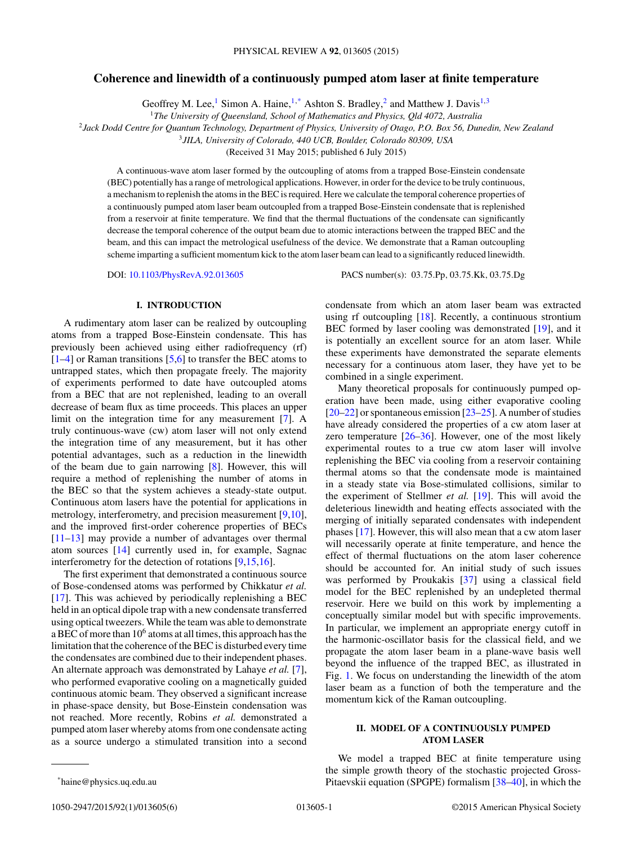# **Coherence and linewidth of a continuously pumped atom laser at finite temperature**

Geoffrey M. Lee,<sup>1</sup> Simon A. Haine,  $1, *$  Ashton S. Bradley,<sup>2</sup> and Matthew J. Davis<sup>1,3</sup>

<sup>2</sup>*Jack Dodd Centre for Quantum Technology, Department of Physics, University of Otago, P.O. Box 56, Dunedin, New Zealand*

<sup>3</sup>*JILA, University of Colorado, 440 UCB, Boulder, Colorado 80309, USA*

(Received 31 May 2015; published 6 July 2015)

A continuous-wave atom laser formed by the outcoupling of atoms from a trapped Bose-Einstein condensate (BEC) potentially has a range of metrological applications. However, in order for the device to be truly continuous, a mechanism to replenish the atoms in the BEC is required. Here we calculate the temporal coherence properties of a continuously pumped atom laser beam outcoupled from a trapped Bose-Einstein condensate that is replenished from a reservoir at finite temperature. We find that the thermal fluctuations of the condensate can significantly decrease the temporal coherence of the output beam due to atomic interactions between the trapped BEC and the beam, and this can impact the metrological usefulness of the device. We demonstrate that a Raman outcoupling scheme imparting a sufficient momentum kick to the atom laser beam can lead to a significantly reduced linewidth.

DOI: [10.1103/PhysRevA.92.013605](http://dx.doi.org/10.1103/PhysRevA.92.013605) PACS number(s): 03*.*75*.*Pp*,* 03*.*75*.*Kk*,* 03*.*75*.*Dg

# **I. INTRODUCTION**

A rudimentary atom laser can be realized by outcoupling atoms from a trapped Bose-Einstein condensate. This has previously been achieved using either radiofrequency (rf) [\[1–4\]](#page-4-0) or Raman transitions [\[5,6\]](#page-4-0) to transfer the BEC atoms to untrapped states, which then propagate freely. The majority of experiments performed to date have outcoupled atoms from a BEC that are not replenished, leading to an overall decrease of beam flux as time proceeds. This places an upper limit on the integration time for any measurement [\[7\]](#page-4-0). A truly continuous-wave (cw) atom laser will not only extend the integration time of any measurement, but it has other potential advantages, such as a reduction in the linewidth of the beam due to gain narrowing  $[8]$ . However, this will require a method of replenishing the number of atoms in the BEC so that the system achieves a steady-state output. Continuous atom lasers have the potential for applications in metrology, interferometry, and precision measurement [\[9,10\]](#page-4-0), and the improved first-order coherence properties of BECs [\[11–13\]](#page-4-0) may provide a number of advantages over thermal atom sources [\[14\]](#page-4-0) currently used in, for example, Sagnac interferometry for the detection of rotations [\[9,15,16\]](#page-4-0).

The first experiment that demonstrated a continuous source of Bose-condensed atoms was performed by Chikkatur *et al.* [\[17\]](#page-4-0). This was achieved by periodically replenishing a BEC held in an optical dipole trap with a new condensate transferred using optical tweezers. While the team was able to demonstrate a BEC of more than  $10^6$  atoms at all times, this approach has the limitation that the coherence of the BEC is disturbed every time the condensates are combined due to their independent phases. An alternate approach was demonstrated by Lahaye *et al.* [\[7\]](#page-4-0), who performed evaporative cooling on a magnetically guided continuous atomic beam. They observed a significant increase in phase-space density, but Bose-Einstein condensation was not reached. More recently, Robins *et al.* demonstrated a pumped atom laser whereby atoms from one condensate acting as a source undergo a stimulated transition into a second condensate from which an atom laser beam was extracted using rf outcoupling [\[18\]](#page-4-0). Recently, a continuous strontium BEC formed by laser cooling was demonstrated [\[19\]](#page-4-0), and it is potentially an excellent source for an atom laser. While these experiments have demonstrated the separate elements necessary for a continuous atom laser, they have yet to be combined in a single experiment.

Many theoretical proposals for continuously pumped operation have been made, using either evaporative cooling [\[20–22\]](#page-4-0) or spontaneous emission [\[23–25\]](#page-4-0). A number of studies have already considered the properties of a cw atom laser at zero temperature  $[26-36]$ . However, one of the most likely experimental routes to a true cw atom laser will involve replenishing the BEC via cooling from a reservoir containing thermal atoms so that the condensate mode is maintained in a steady state via Bose-stimulated collisions, similar to the experiment of Stellmer *et al.* [\[19\]](#page-4-0). This will avoid the deleterious linewidth and heating effects associated with the merging of initially separated condensates with independent phases [\[17\]](#page-4-0). However, this will also mean that a cw atom laser will necessarily operate at finite temperature, and hence the effect of thermal fluctuations on the atom laser coherence should be accounted for. An initial study of such issues was performed by Proukakis [\[37\]](#page-4-0) using a classical field model for the BEC replenished by an undepleted thermal reservoir. Here we build on this work by implementing a conceptually similar model but with specific improvements. In particular, we implement an appropriate energy cutoff in the harmonic-oscillator basis for the classical field, and we propagate the atom laser beam in a plane-wave basis well beyond the influence of the trapped BEC, as illustrated in Fig. [1.](#page-1-0) We focus on understanding the linewidth of the atom laser beam as a function of both the temperature and the momentum kick of the Raman outcoupling.

# **II. MODEL OF A CONTINUOUSLY PUMPED ATOM LASER**

We model a trapped BEC at finite temperature using the simple growth theory of the stochastic projected Gross-Pitaevskii equation (SPGPE) formalism [\[38](#page-4-0)[–40\]](#page-5-0), in which the

<sup>1</sup>*The University of Queensland, School of Mathematics and Physics, Qld 4072, Australia*

<sup>\*</sup>haine@physics.uq.edu.au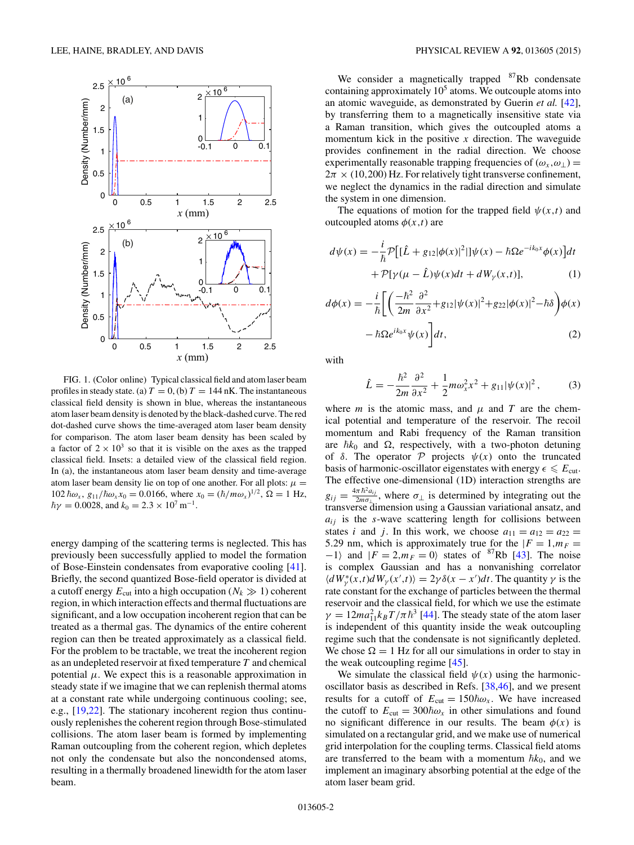<span id="page-1-0"></span>

FIG. 1. (Color online) Typical classical field and atom laser beam profiles in steady state. (a)  $T = 0$ , (b)  $T = 144$  nK. The instantaneous classical field density is shown in blue, whereas the instantaneous atom laser beam density is denoted by the black-dashed curve. The red dot-dashed curve shows the time-averaged atom laser beam density for comparison. The atom laser beam density has been scaled by a factor of  $2 \times 10^3$  so that it is visible on the axes as the trapped classical field. Insets: a detailed view of the classical field region. In (a), the instantaneous atom laser beam density and time-average atom laser beam density lie on top of one another. For all plots:  $\mu =$  $102 \hbar \omega_x$ ,  $g_{11}/\hbar \omega_x x_0 = 0.0166$ , where  $x_0 = (\hbar/m\omega_x)^{1/2}$ ,  $\Omega = 1$  Hz,  $\hbar\gamma = 0.0028$ , and  $k_0 = 2.3 \times 10^7 \,\text{m}^{-1}$ .

energy damping of the scattering terms is neglected. This has previously been successfully applied to model the formation of Bose-Einstein condensates from evaporative cooling [\[41\]](#page-5-0). Briefly, the second quantized Bose-field operator is divided at a cutoff energy  $E_{\text{cut}}$  into a high occupation ( $N_k \gg 1$ ) coherent region, in which interaction effects and thermal fluctuations are significant, and a low occupation incoherent region that can be treated as a thermal gas. The dynamics of the entire coherent region can then be treated approximately as a classical field. For the problem to be tractable, we treat the incoherent region as an undepleted reservoir at fixed temperature *T* and chemical potential  $\mu$ . We expect this is a reasonable approximation in steady state if we imagine that we can replenish thermal atoms at a constant rate while undergoing continuous cooling; see, e.g., [\[19,22\]](#page-4-0). The stationary incoherent region thus continuously replenishes the coherent region through Bose-stimulated collisions. The atom laser beam is formed by implementing Raman outcoupling from the coherent region, which depletes not only the condensate but also the noncondensed atoms, resulting in a thermally broadened linewidth for the atom laser beam.

We consider a magnetically trapped  $87Rb$  condensate containing approximately  $10<sup>5</sup>$  atoms. We outcouple atoms into an atomic waveguide, as demonstrated by Guerin *et al.* [\[42\]](#page-5-0), by transferring them to a magnetically insensitive state via a Raman transition, which gives the outcoupled atoms a momentum kick in the positive *x* direction. The waveguide provides confinement in the radial direction. We choose experimentally reasonable trapping frequencies of  $(\omega_x, \omega_\perp)$  =  $2\pi \times (10,200)$  Hz. For relatively tight transverse confinement, we neglect the dynamics in the radial direction and simulate the system in one dimension.

The equations of motion for the trapped field  $\psi(x,t)$  and outcoupled atoms  $\phi(x,t)$  are

$$
d\psi(x) = -\frac{i}{\hbar} \mathcal{P} \left[ [\hat{L} + g_{12} |\phi(x)|^2] |\psi(x) - \hbar \Omega e^{-ik_0 x} \phi(x) \right] dt
$$

$$
+ \mathcal{P} [\gamma(\mu - \hat{L}) \psi(x) dt + dW_{\gamma}(x, t)], \tag{1}
$$

$$
d\phi(x) = -\frac{i}{\hbar} \left[ \left( \frac{-\hbar^2}{2m} \frac{\partial^2}{\partial x^2} + g_{12} |\psi(x)|^2 + g_{22} |\phi(x)|^2 - \hbar \delta \right) \phi(x) - \hbar \Omega e^{ik_0 x} \psi(x) \right] dt, \tag{2}
$$

with

$$
\hat{L} = -\frac{\hbar^2}{2m} \frac{\partial^2}{\partial x^2} + \frac{1}{2} m \omega_x^2 x^2 + g_{11} |\psi(x)|^2, \tag{3}
$$

where *m* is the atomic mass, and  $\mu$  and *T* are the chemical potential and temperature of the reservoir. The recoil momentum and Rabi frequency of the Raman transition are  $\hbar k_0$  and  $\Omega$ , respectively, with a two-photon detuning of  $\delta$ . The operator  $\mathcal P$  projects  $\psi(x)$  onto the truncated basis of harmonic-oscillator eigenstates with energy  $\epsilon \leq E_{\text{cut}}$ . The effective one-dimensional (1D) interaction strengths are  $g_{ij} = \frac{4\pi \hbar^2 a_{ij}}{2m\sigma_{\perp}}$ , where  $\sigma_{\perp}$  is determined by integrating out the transverse dimension using a Gaussian variational ansatz, and  $a_{ij}$  is the *s*-wave scattering length for collisions between states *i* and *j*. In this work, we choose  $a_{11} = a_{12} = a_{22}$ 5.29 nm, which is approximately true for the  $|F = 1, m_F =$  $-1$  and  $|F = 2, m_F = 0$  states of <sup>87</sup>Rb [\[43\]](#page-5-0). The noise is complex Gaussian and has a nonvanishing correlator  $\langle dW^*_{\gamma}(x,t) dW_{\gamma}(x',t) \rangle = 2\gamma \delta(x-x')dt$ . The quantity  $\gamma$  is the rate constant for the exchange of particles between the thermal reservoir and the classical field, for which we use the estimate  $\gamma = 12ma_{11}^2 k_B T/\pi \hbar^3$  [\[44\]](#page-5-0). The steady state of the atom laser is independent of this quantity inside the weak outcoupling regime such that the condensate is not significantly depleted. We chose  $\Omega = 1$  Hz for all our simulations in order to stay in the weak outcoupling regime [\[45\]](#page-5-0).

We simulate the classical field  $\psi(x)$  using the harmonicoscillator basis as described in Refs. [\[38,](#page-4-0)[46\]](#page-5-0), and we present results for a cutoff of  $E_{\text{cut}} = 150\hbar\omega_x$ . We have increased the cutoff to  $E_{\text{cut}} = 300 \hbar \omega_x$  in other simulations and found no significant difference in our results. The beam  $\phi(x)$  is simulated on a rectangular grid, and we make use of numerical grid interpolation for the coupling terms. Classical field atoms are transferred to the beam with a momentum  $\hbar k_0$ , and we implement an imaginary absorbing potential at the edge of the atom laser beam grid.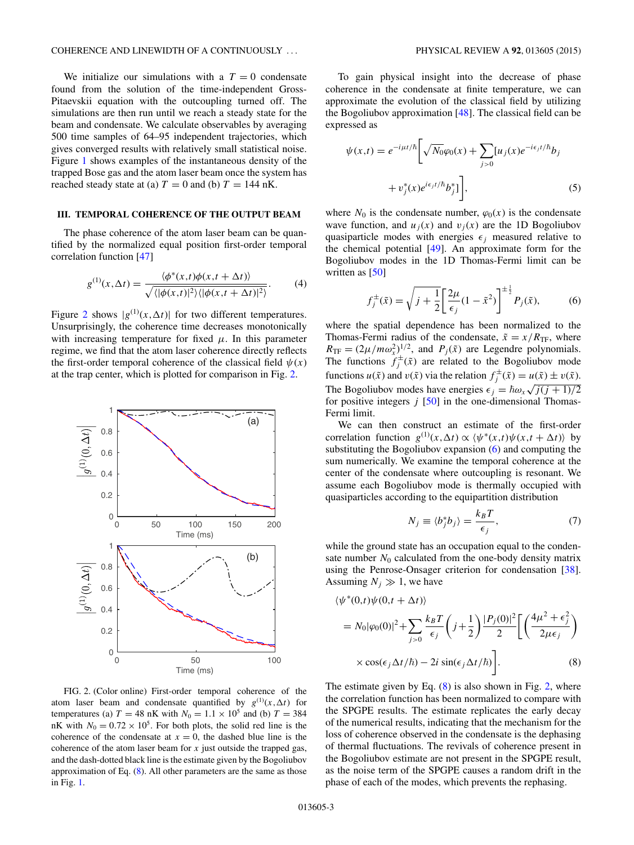We initialize our simulations with a  $T = 0$  condensate found from the solution of the time-independent Gross-Pitaevskii equation with the outcoupling turned off. The simulations are then run until we reach a steady state for the beam and condensate. We calculate observables by averaging 500 time samples of 64–95 independent trajectories, which gives converged results with relatively small statistical noise. Figure [1](#page-1-0) shows examples of the instantaneous density of the trapped Bose gas and the atom laser beam once the system has reached steady state at (a)  $T = 0$  and (b)  $T = 144$  nK.

#### **III. TEMPORAL COHERENCE OF THE OUTPUT BEAM**

The phase coherence of the atom laser beam can be quantified by the normalized equal position first-order temporal correlation function [\[47\]](#page-5-0)

$$
g^{(1)}(x,\Delta t) = \frac{\langle \phi^*(x,t)\phi(x,t+\Delta t) \rangle}{\sqrt{\langle |\phi(x,t)|^2 \rangle \langle |\phi(x,t+\Delta t)|^2 \rangle}}.
$$
 (4)

Figure 2 shows  $|g^{(1)}(x,\Delta t)|$  for two different temperatures. Unsurprisingly, the coherence time decreases monotonically with increasing temperature for fixed  $\mu$ . In this parameter regime, we find that the atom laser coherence directly reflects the first-order temporal coherence of the classical field  $\psi(x)$ at the trap center, which is plotted for comparison in Fig. 2.



FIG. 2. (Color online) First-order temporal coherence of the atom laser beam and condensate quantified by  $g^{(1)}(x, \Delta t)$  for temperatures (a)  $T = 48$  nK with  $N_0 = 1.1 \times 10^5$  and (b)  $T = 384$ nK with  $N_0 = 0.72 \times 10^5$ . For both plots, the solid red line is the coherence of the condensate at  $x = 0$ , the dashed blue line is the coherence of the atom laser beam for *x* just outside the trapped gas, and the dash-dotted black line is the estimate given by the Bogoliubov approximation of Eq. (8). All other parameters are the same as those in Fig. [1.](#page-1-0)

To gain physical insight into the decrease of phase coherence in the condensate at finite temperature, we can approximate the evolution of the classical field by utilizing the Bogoliubov approximation [\[48\]](#page-5-0). The classical field can be expressed as

$$
\psi(x,t) = e^{-i\mu t/\hbar} \left[ \sqrt{N_0} \varphi_0(x) + \sum_{j>0} [u_j(x)e^{-i\epsilon_j t/\hbar} b_j + v_j^*(x)e^{i\epsilon_j t/\hbar} b_j^*] \right],
$$
\n(5)

where  $N_0$  is the condensate number,  $\varphi_0(x)$  is the condensate wave function, and  $u_j(x)$  and  $v_j(x)$  are the 1D Bogoliubov quasiparticle modes with energies  $\epsilon_j$  measured relative to the chemical potential [\[49\]](#page-5-0). An approximate form for the Bogoliubov modes in the 1D Thomas-Fermi limit can be written as [\[50\]](#page-5-0)

$$
f_j^{\pm}(\tilde{x}) = \sqrt{j + \frac{1}{2}} \left[ \frac{2\mu}{\epsilon_j} (1 - \tilde{x}^2) \right]^{\pm \frac{1}{2}} P_j(\tilde{x}), \quad (6)
$$

where the spatial dependence has been normalized to the Thomas-Fermi radius of the condensate,  $\tilde{x} = x/R$ <sub>TF</sub>, where  $R_{\text{TF}} = (2\mu/m\omega_x^2)^{1/2}$ , and  $P_j(\tilde{x})$  are Legendre polynomials. The functions  $f_j^{\pm}(\tilde{x})$  are related to the Bogoliubov mode functions  $u(\tilde{x})$  and  $v(\tilde{x})$  via the relation  $f_j^{\pm}(\tilde{x}) = u(\tilde{x}) \pm v(\tilde{x})$ . The Bogoliubov modes have energies  $\epsilon_j = \hbar \omega_x \sqrt{j(j+1)/2}$ for positive integers  $j$  [\[50\]](#page-5-0) in the one-dimensional Thomas-Fermi limit.

We can then construct an estimate of the first-order correlation function  $g^{(1)}(x, \Delta t) \propto \langle \psi^*(x,t) \psi(x,t + \Delta t) \rangle$  by substituting the Bogoliubov expansion (6) and computing the sum numerically. We examine the temporal coherence at the center of the condensate where outcoupling is resonant. We assume each Bogoliubov mode is thermally occupied with quasiparticles according to the equipartition distribution

$$
N_j \equiv \langle b_j^* b_j \rangle = \frac{k_B T}{\epsilon_j},\tag{7}
$$

while the ground state has an occupation equal to the condensate number  $N_0$  calculated from the one-body density matrix using the Penrose-Onsager criterion for condensation [\[38\]](#page-4-0). Assuming  $N_j \gg 1$ , we have

$$
\langle \psi^*(0,t)\psi(0,t+\Delta t) \rangle
$$
  
=  $N_0|\varphi_0(0)|^2 + \sum_{j>0} \frac{k_B T}{\epsilon_j} \left(j + \frac{1}{2}\right) \frac{|P_j(0)|^2}{2} \left[ \left(\frac{4\mu^2 + \epsilon_j^2}{2\mu\epsilon_j}\right) \times \cos(\epsilon_j \Delta t/\hbar) - 2i \sin(\epsilon_j \Delta t/\hbar) \right].$  (8)

The estimate given by Eq.  $(8)$  is also shown in Fig. 2, where the correlation function has been normalized to compare with the SPGPE results. The estimate replicates the early decay of the numerical results, indicating that the mechanism for the loss of coherence observed in the condensate is the dephasing of thermal fluctuations. The revivals of coherence present in the Bogoliubov estimate are not present in the SPGPE result, as the noise term of the SPGPE causes a random drift in the phase of each of the modes, which prevents the rephasing.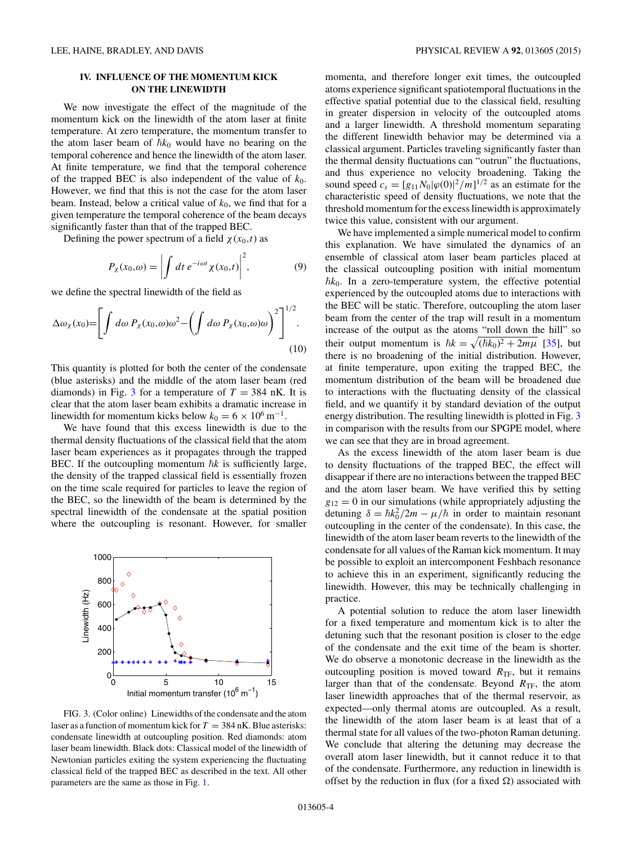# **IV. INFLUENCE OF THE MOMENTUM KICK ON THE LINEWIDTH**

We now investigate the effect of the magnitude of the momentum kick on the linewidth of the atom laser at finite temperature. At zero temperature, the momentum transfer to the atom laser beam of  $\hbar k_0$  would have no bearing on the temporal coherence and hence the linewidth of the atom laser. At finite temperature, we find that the temporal coherence of the trapped BEC is also independent of the value of  $k_0$ . However, we find that this is not the case for the atom laser beam. Instead, below a critical value of  $k_0$ , we find that for a given temperature the temporal coherence of the beam decays significantly faster than that of the trapped BEC.

Defining the power spectrum of a field  $\chi(x_0,t)$  as

$$
P_{\chi}(x_0,\omega) = \left| \int dt \, e^{-i\omega t} \chi(x_0,t) \right|^2, \tag{9}
$$

we define the spectral linewidth of the field as

$$
\Delta \omega_{\chi}(x_0) = \left[ \int d\omega \, P_{\chi}(x_0, \omega) \omega^2 - \left( \int d\omega \, P_{\chi}(x_0, \omega) \omega \right)^2 \right]^{1/2} . \tag{10}
$$

This quantity is plotted for both the center of the condensate (blue asterisks) and the middle of the atom laser beam (red diamonds) in Fig. 3 for a temperature of  $T = 384$  nK. It is clear that the atom laser beam exhibits a dramatic increase in linewidth for momentum kicks below  $k_0 = 6 \times 10^6 \,\mathrm{m}^{-1}$ .

We have found that this excess linewidth is due to the thermal density fluctuations of the classical field that the atom laser beam experiences as it propagates through the trapped BEC. If the outcoupling momentum  $\hbar k$  is sufficiently large, the density of the trapped classical field is essentially frozen on the time scale required for particles to leave the region of the BEC, so the linewidth of the beam is determined by the spectral linewidth of the condensate at the spatial position where the outcoupling is resonant. However, for smaller



FIG. 3. (Color online) Linewidths of the condensate and the atom laser as a function of momentum kick for  $T = 384$  nK. Blue asterisks: condensate linewidth at outcoupling position. Red diamonds: atom laser beam linewidth. Black dots: Classical model of the linewidth of Newtonian particles exiting the system experiencing the fluctuating classical field of the trapped BEC as described in the text. All other parameters are the same as those in Fig. [1.](#page-1-0)

momenta, and therefore longer exit times, the outcoupled atoms experience significant spatiotemporal fluctuations in the effective spatial potential due to the classical field, resulting in greater dispersion in velocity of the outcoupled atoms and a larger linewidth. A threshold momentum separating the different linewidth behavior may be determined via a classical argument. Particles traveling significantly faster than the thermal density fluctuations can "outrun" the fluctuations, and thus experience no velocity broadening. Taking the sound speed  $c_s = [g_{11}N_0|\varphi(0)|^2/m]^{1/2}$  as an estimate for the characteristic speed of density fluctuations, we note that the threshold momentum for the excess linewidth is approximately twice this value, consistent with our argument.

We have implemented a simple numerical model to confirm this explanation. We have simulated the dynamics of an ensemble of classical atom laser beam particles placed at the classical outcoupling position with initial momentum -*k*0. In a zero-temperature system, the effective potential experienced by the outcoupled atoms due to interactions with the BEC will be static. Therefore, outcoupling the atom laser beam from the center of the trap will result in a momentum increase of the output as the atoms "roll down the hill" so their output momentum is  $\hbar k = \sqrt{(\hbar k_0)^2 + 2m\mu}$  [\[35\]](#page-4-0), but there is no broadening of the initial distribution. However, at finite temperature, upon exiting the trapped BEC, the momentum distribution of the beam will be broadened due to interactions with the fluctuating density of the classical field, and we quantify it by standard deviation of the output energy distribution. The resulting linewidth is plotted in Fig. 3 in comparison with the results from our SPGPE model, where we can see that they are in broad agreement.

As the excess linewidth of the atom laser beam is due to density fluctuations of the trapped BEC, the effect will disappear if there are no interactions between the trapped BEC and the atom laser beam. We have verified this by setting  $g_{12} = 0$  in our simulations (while appropriately adjusting the detuning  $\delta = \hbar k_0^2 / 2m - \mu / \hbar$  in order to maintain resonant outcoupling in the center of the condensate). In this case, the linewidth of the atom laser beam reverts to the linewidth of the condensate for all values of the Raman kick momentum. It may be possible to exploit an intercomponent Feshbach resonance to achieve this in an experiment, significantly reducing the linewidth. However, this may be technically challenging in practice.

A potential solution to reduce the atom laser linewidth for a fixed temperature and momentum kick is to alter the detuning such that the resonant position is closer to the edge of the condensate and the exit time of the beam is shorter. We do observe a monotonic decrease in the linewidth as the outcoupling position is moved toward  $R_{\text{TF}}$ , but it remains larger than that of the condensate. Beyond  $R_{\text{TF}}$ , the atom laser linewidth approaches that of the thermal reservoir, as expected—only thermal atoms are outcoupled. As a result, the linewidth of the atom laser beam is at least that of a thermal state for all values of the two-photon Raman detuning. We conclude that altering the detuning may decrease the overall atom laser linewidth, but it cannot reduce it to that of the condensate. Furthermore, any reduction in linewidth is offset by the reduction in flux (for a fixed  $\Omega$ ) associated with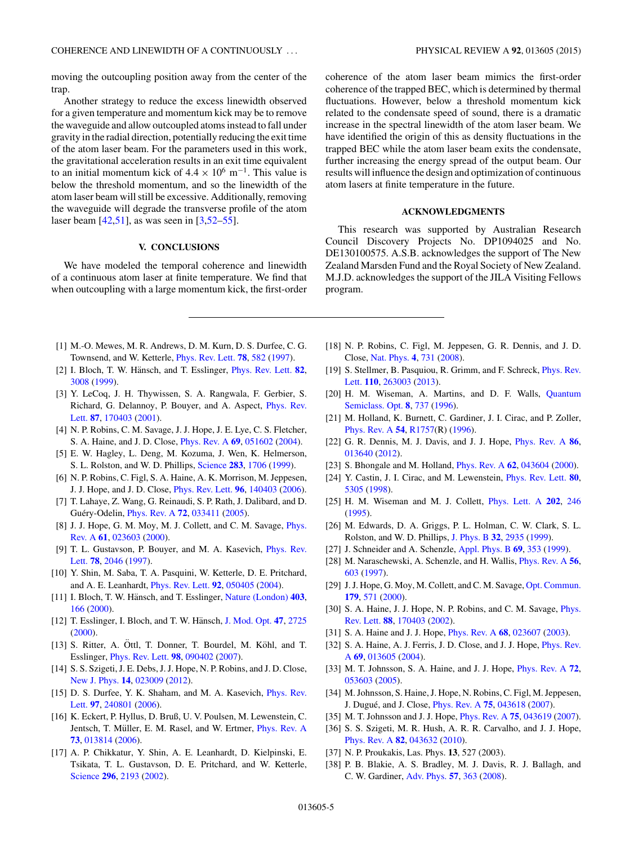<span id="page-4-0"></span>moving the outcoupling position away from the center of the trap.

Another strategy to reduce the excess linewidth observed for a given temperature and momentum kick may be to remove the waveguide and allow outcoupled atoms instead to fall under gravity in the radial direction, potentially reducing the exit time of the atom laser beam. For the parameters used in this work, the gravitational acceleration results in an exit time equivalent to an initial momentum kick of  $4.4 \times 10^6$  m<sup>-1</sup>. This value is below the threshold momentum, and so the linewidth of the atom laser beam will still be excessive. Additionally, removing the waveguide will degrade the transverse profile of the atom laser beam [\[42,51\]](#page-5-0), as was seen in [3[,52–55\]](#page-5-0).

## **V. CONCLUSIONS**

We have modeled the temporal coherence and linewidth of a continuous atom laser at finite temperature. We find that when outcoupling with a large momentum kick, the first-order

- [1] M.-O. Mewes, M. R. Andrews, D. M. Kurn, D. S. Durfee, C. G. Townsend, and W. Ketterle, [Phys. Rev. Lett.](http://dx.doi.org/10.1103/PhysRevLett.78.582) **[78](http://dx.doi.org/10.1103/PhysRevLett.78.582)**, [582](http://dx.doi.org/10.1103/PhysRevLett.78.582) [\(1997\)](http://dx.doi.org/10.1103/PhysRevLett.78.582).
- [2] I. Bloch, T. W. Hänsch, and T. Esslinger, *[Phys. Rev. Lett.](http://dx.doi.org/10.1103/PhysRevLett.82.3008)* **[82](http://dx.doi.org/10.1103/PhysRevLett.82.3008)**, [3008](http://dx.doi.org/10.1103/PhysRevLett.82.3008) [\(1999\)](http://dx.doi.org/10.1103/PhysRevLett.82.3008).
- [3] Y. LeCoq, J. H. Thywissen, S. A. Rangwala, F. Gerbier, S. [Richard, G. Delannoy, P. Bouyer, and A. Aspect,](http://dx.doi.org/10.1103/PhysRevLett.87.170403) Phys. Rev. Lett. **[87](http://dx.doi.org/10.1103/PhysRevLett.87.170403)**, [170403](http://dx.doi.org/10.1103/PhysRevLett.87.170403) [\(2001\)](http://dx.doi.org/10.1103/PhysRevLett.87.170403).
- [4] N. P. Robins, C. M. Savage, J. J. Hope, J. E. Lye, C. S. Fletcher, S. A. Haine, and J. D. Close, [Phys. Rev. A](http://dx.doi.org/10.1103/PhysRevA.69.051602) **[69](http://dx.doi.org/10.1103/PhysRevA.69.051602)**, [051602](http://dx.doi.org/10.1103/PhysRevA.69.051602) [\(2004\)](http://dx.doi.org/10.1103/PhysRevA.69.051602).
- [5] E. W. Hagley, L. Deng, M. Kozuma, J. Wen, K. Helmerson, S. L. Rolston, and W. D. Phillips, [Science](http://dx.doi.org/10.1126/science.283.5408.1706) **[283](http://dx.doi.org/10.1126/science.283.5408.1706)**, [1706](http://dx.doi.org/10.1126/science.283.5408.1706) [\(1999\)](http://dx.doi.org/10.1126/science.283.5408.1706).
- [6] N. P. Robins, C. Figl, S. A. Haine, A. K. Morrison, M. Jeppesen, J. J. Hope, and J. D. Close, [Phys. Rev. Lett.](http://dx.doi.org/10.1103/PhysRevLett.96.140403) **[96](http://dx.doi.org/10.1103/PhysRevLett.96.140403)**, [140403](http://dx.doi.org/10.1103/PhysRevLett.96.140403) [\(2006\)](http://dx.doi.org/10.1103/PhysRevLett.96.140403).
- [7] T. Lahaye, Z. Wang, G. Reinaudi, S. P. Rath, J. Dalibard, and D. Guéry-Odelin, *[Phys. Rev. A](http://dx.doi.org/10.1103/PhysRevA.72.033411)* **[72](http://dx.doi.org/10.1103/PhysRevA.72.033411)**, [033411](http://dx.doi.org/10.1103/PhysRevA.72.033411) [\(2005\)](http://dx.doi.org/10.1103/PhysRevA.72.033411).
- [8] [J. J. Hope, G. M. Moy, M. J. Collett, and C. M. Savage,](http://dx.doi.org/10.1103/PhysRevA.61.023603) *Phys.* Rev. A **[61](http://dx.doi.org/10.1103/PhysRevA.61.023603)**, [023603](http://dx.doi.org/10.1103/PhysRevA.61.023603) [\(2000\)](http://dx.doi.org/10.1103/PhysRevA.61.023603).
- [9] [T. L. Gustavson, P. Bouyer, and M. A. Kasevich,](http://dx.doi.org/10.1103/PhysRevLett.78.2046) Phys. Rev. Lett. **[78](http://dx.doi.org/10.1103/PhysRevLett.78.2046)**, [2046](http://dx.doi.org/10.1103/PhysRevLett.78.2046) [\(1997\)](http://dx.doi.org/10.1103/PhysRevLett.78.2046).
- [10] Y. Shin, M. Saba, T. A. Pasquini, W. Ketterle, D. E. Pritchard, and A. E. Leanhardt, [Phys. Rev. Lett.](http://dx.doi.org/10.1103/PhysRevLett.92.050405) **[92](http://dx.doi.org/10.1103/PhysRevLett.92.050405)**, [050405](http://dx.doi.org/10.1103/PhysRevLett.92.050405) [\(2004\)](http://dx.doi.org/10.1103/PhysRevLett.92.050405).
- [11] I. Bloch, T. W. Hänsch, and T. Esslinger, [Nature \(London\)](http://dx.doi.org/10.1038/35003132)  $403$ , [166](http://dx.doi.org/10.1038/35003132) [\(2000\)](http://dx.doi.org/10.1038/35003132).
- [12] T. Esslinger, I. Bloch, and T. W. Hänsch, [J. Mod. Opt.](http://dx.doi.org/10.1080/09500340008232192) [47](http://dx.doi.org/10.1080/09500340008232192), [2725](http://dx.doi.org/10.1080/09500340008232192) [\(2000\)](http://dx.doi.org/10.1080/09500340008232192).
- $[13]$  S. Ritter, A. Ottl, T. Donner, T. Bourdel, M. Köhl, and T. Esslinger, [Phys. Rev. Lett.](http://dx.doi.org/10.1103/PhysRevLett.98.090402) **[98](http://dx.doi.org/10.1103/PhysRevLett.98.090402)**, [090402](http://dx.doi.org/10.1103/PhysRevLett.98.090402) [\(2007\)](http://dx.doi.org/10.1103/PhysRevLett.98.090402).
- [14] S. S. Szigeti, J. E. Debs, J. J. Hope, N. P. Robins, and J. D. Close, [New J. Phys.](http://dx.doi.org/10.1088/1367-2630/14/2/023009) **[14](http://dx.doi.org/10.1088/1367-2630/14/2/023009)**, [023009](http://dx.doi.org/10.1088/1367-2630/14/2/023009) [\(2012\)](http://dx.doi.org/10.1088/1367-2630/14/2/023009).
- [15] [D. S. Durfee, Y. K. Shaham, and M. A. Kasevich,](http://dx.doi.org/10.1103/PhysRevLett.97.240801) *Phys. Rev.* Lett. **[97](http://dx.doi.org/10.1103/PhysRevLett.97.240801)**, [240801](http://dx.doi.org/10.1103/PhysRevLett.97.240801) [\(2006\)](http://dx.doi.org/10.1103/PhysRevLett.97.240801).
- [16] K. Eckert, P. Hyllus, D. Bruß, U. V. Poulsen, M. Lewenstein, C. Jentsch, T. Müller, E. M. Rasel, and W. Ertmer, *[Phys. Rev. A](http://dx.doi.org/10.1103/PhysRevA.73.013814)* **[73](http://dx.doi.org/10.1103/PhysRevA.73.013814)**, [013814](http://dx.doi.org/10.1103/PhysRevA.73.013814) [\(2006\)](http://dx.doi.org/10.1103/PhysRevA.73.013814).
- [17] A. P. Chikkatur, Y. Shin, A. E. Leanhardt, D. Kielpinski, E. Tsikata, T. L. Gustavson, D. E. Pritchard, and W. Ketterle, [Science](http://dx.doi.org/10.1126/science.296.5576.2193) **[296](http://dx.doi.org/10.1126/science.296.5576.2193)**, [2193](http://dx.doi.org/10.1126/science.296.5576.2193) [\(2002\)](http://dx.doi.org/10.1126/science.296.5576.2193).

coherence of the atom laser beam mimics the first-order coherence of the trapped BEC, which is determined by thermal fluctuations. However, below a threshold momentum kick related to the condensate speed of sound, there is a dramatic increase in the spectral linewidth of the atom laser beam. We have identified the origin of this as density fluctuations in the trapped BEC while the atom laser beam exits the condensate, further increasing the energy spread of the output beam. Our results will influence the design and optimization of continuous atom lasers at finite temperature in the future.

### **ACKNOWLEDGMENTS**

This research was supported by Australian Research Council Discovery Projects No. DP1094025 and No. DE130100575. A.S.B. acknowledges the support of The New Zealand Marsden Fund and the Royal Society of New Zealand. M.J.D. acknowledges the support of the JILA Visiting Fellows program.

- [18] N. P. Robins, C. Figl, M. Jeppesen, G. R. Dennis, and J. D. Close, [Nat. Phys.](http://dx.doi.org/10.1038/nphys1027) **[4](http://dx.doi.org/10.1038/nphys1027)**, [731](http://dx.doi.org/10.1038/nphys1027) [\(2008\)](http://dx.doi.org/10.1038/nphys1027).
- [19] [S. Stellmer, B. Pasquiou, R. Grimm, and F. Schreck,](http://dx.doi.org/10.1103/PhysRevLett.110.263003) *Phys. Rev.* Lett. **[110](http://dx.doi.org/10.1103/PhysRevLett.110.263003)**, [263003](http://dx.doi.org/10.1103/PhysRevLett.110.263003) [\(2013\)](http://dx.doi.org/10.1103/PhysRevLett.110.263003).
- [20] [H. M. Wiseman, A. Martins, and D. F. Walls,](http://dx.doi.org/10.1088/1355-5111/8/3/032) Quantum Semiclass. Opt. **[8](http://dx.doi.org/10.1088/1355-5111/8/3/032)**, [737](http://dx.doi.org/10.1088/1355-5111/8/3/032) [\(1996\)](http://dx.doi.org/10.1088/1355-5111/8/3/032).
- [21] M. Holland, K. Burnett, C. Gardiner, J. I. Cirac, and P. Zoller, [Phys. Rev. A](http://dx.doi.org/10.1103/PhysRevA.54.R1757) **[54](http://dx.doi.org/10.1103/PhysRevA.54.R1757)**, [R1757\(](http://dx.doi.org/10.1103/PhysRevA.54.R1757)R) [\(1996\)](http://dx.doi.org/10.1103/PhysRevA.54.R1757).
- [22] G. R. Dennis, M. J. Davis, and J. J. Hope, [Phys. Rev. A](http://dx.doi.org/10.1103/PhysRevA.86.013640) **[86](http://dx.doi.org/10.1103/PhysRevA.86.013640)**, [013640](http://dx.doi.org/10.1103/PhysRevA.86.013640) [\(2012\)](http://dx.doi.org/10.1103/PhysRevA.86.013640).
- [23] S. Bhongale and M. Holland, [Phys. Rev. A](http://dx.doi.org/10.1103/PhysRevA.62.043604) **[62](http://dx.doi.org/10.1103/PhysRevA.62.043604)**, [043604](http://dx.doi.org/10.1103/PhysRevA.62.043604) [\(2000\)](http://dx.doi.org/10.1103/PhysRevA.62.043604).
- [24] Y. Castin, J. I. Cirac, and M. Lewenstein, [Phys. Rev. Lett.](http://dx.doi.org/10.1103/PhysRevLett.80.5305) **[80](http://dx.doi.org/10.1103/PhysRevLett.80.5305)**, [5305](http://dx.doi.org/10.1103/PhysRevLett.80.5305) [\(1998\)](http://dx.doi.org/10.1103/PhysRevLett.80.5305).
- [25] H. M. Wiseman and M. J. Collett, [Phys. Lett. A](http://dx.doi.org/10.1016/0375-9601(95)00355-7) **[202](http://dx.doi.org/10.1016/0375-9601(95)00355-7)**, [246](http://dx.doi.org/10.1016/0375-9601(95)00355-7) [\(1995\)](http://dx.doi.org/10.1016/0375-9601(95)00355-7).
- [26] M. Edwards, D. A. Griggs, P. L. Holman, C. W. Clark, S. L. Rolston, and W. D. Phillips, [J. Phys. B](http://dx.doi.org/10.1088/0953-4075/32/12/312) **[32](http://dx.doi.org/10.1088/0953-4075/32/12/312)**, [2935](http://dx.doi.org/10.1088/0953-4075/32/12/312) [\(1999\)](http://dx.doi.org/10.1088/0953-4075/32/12/312).
- [27] J. Schneider and A. Schenzle, [Appl. Phys. B](http://dx.doi.org/10.1007/s003400050819) **[69](http://dx.doi.org/10.1007/s003400050819)**, [353](http://dx.doi.org/10.1007/s003400050819) [\(1999\)](http://dx.doi.org/10.1007/s003400050819).
- [28] M. Naraschewski, A. Schenzle, and H. Wallis, [Phys. Rev. A](http://dx.doi.org/10.1103/PhysRevA.56.603) **[56](http://dx.doi.org/10.1103/PhysRevA.56.603)**, [603](http://dx.doi.org/10.1103/PhysRevA.56.603) [\(1997\)](http://dx.doi.org/10.1103/PhysRevA.56.603).
- [29] J.J. Hope, G. Moy, M. Collett, and C. M. Savage, [Opt. Commun.](http://dx.doi.org/10.1016/S0030-4018(99)00481-2) **[179](http://dx.doi.org/10.1016/S0030-4018(99)00481-2)**, [571](http://dx.doi.org/10.1016/S0030-4018(99)00481-2) [\(2000\)](http://dx.doi.org/10.1016/S0030-4018(99)00481-2).
- [30] [S. A. Haine, J. J. Hope, N. P. Robins, and C. M. Savage,](http://dx.doi.org/10.1103/PhysRevLett.88.170403) *Phys.* Rev. Lett. **[88](http://dx.doi.org/10.1103/PhysRevLett.88.170403)**, [170403](http://dx.doi.org/10.1103/PhysRevLett.88.170403) [\(2002\)](http://dx.doi.org/10.1103/PhysRevLett.88.170403).
- [31] S. A. Haine and J. J. Hope, [Phys. Rev. A](http://dx.doi.org/10.1103/PhysRevA.68.023607) **[68](http://dx.doi.org/10.1103/PhysRevA.68.023607)**, [023607](http://dx.doi.org/10.1103/PhysRevA.68.023607) [\(2003\)](http://dx.doi.org/10.1103/PhysRevA.68.023607).
- [32] [S. A. Haine, A. J. Ferris, J. D. Close, and J. J. Hope,](http://dx.doi.org/10.1103/PhysRevA.69.013605) *Phys. Rev.* A **[69](http://dx.doi.org/10.1103/PhysRevA.69.013605)**, [013605](http://dx.doi.org/10.1103/PhysRevA.69.013605) [\(2004\)](http://dx.doi.org/10.1103/PhysRevA.69.013605).
- [33] M. T. Johnsson, S. A. Haine, and J. J. Hope, [Phys. Rev. A](http://dx.doi.org/10.1103/PhysRevA.72.053603) **[72](http://dx.doi.org/10.1103/PhysRevA.72.053603)**, [053603](http://dx.doi.org/10.1103/PhysRevA.72.053603) [\(2005\)](http://dx.doi.org/10.1103/PhysRevA.72.053603).
- [34] M. Johnsson, S. Haine, J. Hope, N. Robins, C. Figl, M. Jeppesen, J. Dugue, and J. Close, ´ [Phys. Rev. A](http://dx.doi.org/10.1103/PhysRevA.75.043618) **[75](http://dx.doi.org/10.1103/PhysRevA.75.043618)**, [043618](http://dx.doi.org/10.1103/PhysRevA.75.043618) [\(2007\)](http://dx.doi.org/10.1103/PhysRevA.75.043618).
- [35] M. T. Johnsson and J. J. Hope, [Phys. Rev. A](http://dx.doi.org/10.1103/PhysRevA.75.043619) **[75](http://dx.doi.org/10.1103/PhysRevA.75.043619)**, [043619](http://dx.doi.org/10.1103/PhysRevA.75.043619) [\(2007\)](http://dx.doi.org/10.1103/PhysRevA.75.043619).
- [36] S. S. Szigeti, M. R. Hush, A. R. R. Carvalho, and J. J. Hope, [Phys. Rev. A](http://dx.doi.org/10.1103/PhysRevA.82.043632) **[82](http://dx.doi.org/10.1103/PhysRevA.82.043632)**, [043632](http://dx.doi.org/10.1103/PhysRevA.82.043632) [\(2010\)](http://dx.doi.org/10.1103/PhysRevA.82.043632).
- [37] N. P. Proukakis, Las. Phys. **13**, 527 (2003).
- [38] P. B. Blakie, A. S. Bradley, M. J. Davis, R. J. Ballagh, and C. W. Gardiner, [Adv. Phys.](http://dx.doi.org/10.1080/00018730802564254) **[57](http://dx.doi.org/10.1080/00018730802564254)**, [363](http://dx.doi.org/10.1080/00018730802564254) [\(2008\)](http://dx.doi.org/10.1080/00018730802564254).